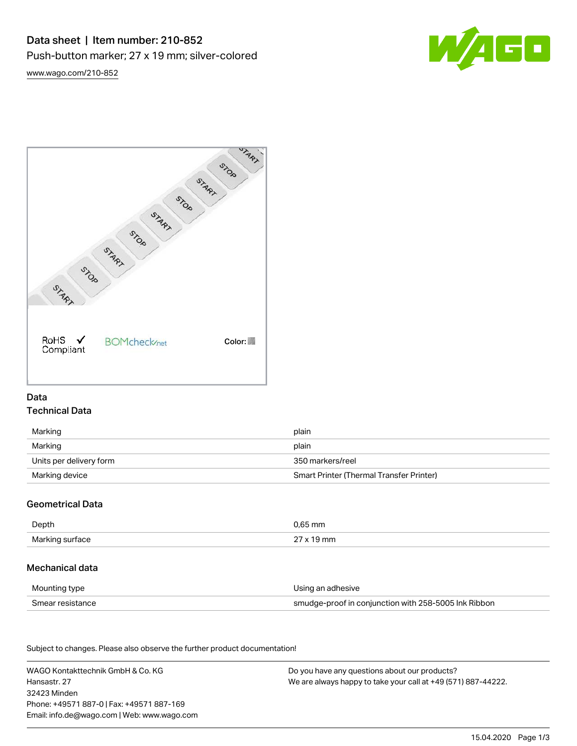

[www.wago.com/210-852](http://www.wago.com/210-852)



# Data Technical Data

| Marking                 | plain                                    |
|-------------------------|------------------------------------------|
| Marking                 | plain                                    |
| Units per delivery form | 350 markers/reel                         |
| Marking device          | Smart Printer (Thermal Transfer Printer) |

## Geometrical Data

| Depth            | .65 mm |
|------------------|--------|
| Marking<br>rtace | mn.    |

## Mechanical data

| Mounting type    | Using an adhesive                                    |
|------------------|------------------------------------------------------|
| Smear resistance | smudge-proof in conjunction with 258-5005 Ink Ribbon |

Subject to changes. Please also observe the further product documentation! Material Data

| WAGO Kontakttechnik GmbH & Co. KG           | Do you have any questions about our products?                 |
|---------------------------------------------|---------------------------------------------------------------|
| Hansastr, 27                                | We are always happy to take your call at +49 (571) 887-44222. |
| 32423 Minden                                |                                                               |
| Phone: +49571 887-0   Fax: +49571 887-169   |                                                               |
| Email: info.de@wago.com   Web: www.wago.com |                                                               |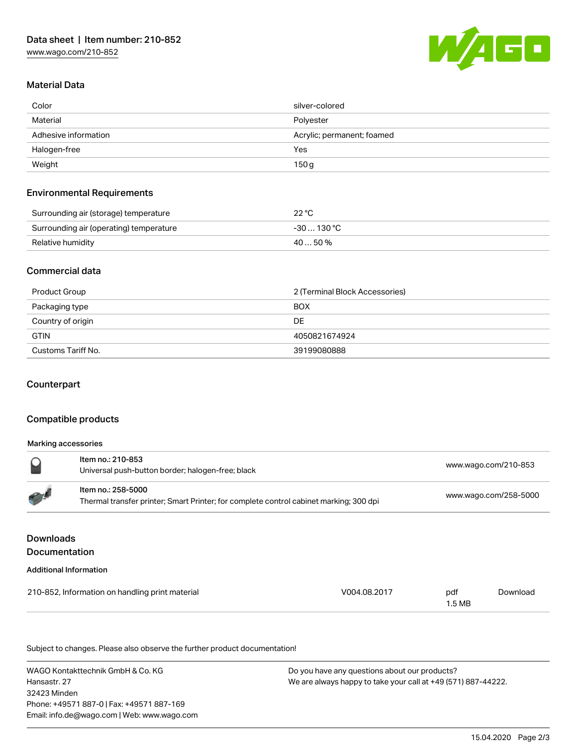

### Material Data

| Color                | silver-colored             |  |
|----------------------|----------------------------|--|
| Material             | Polyester                  |  |
| Adhesive information | Acrylic; permanent; foamed |  |
| Halogen-free         | Yes                        |  |
| Weight               | 150 g                      |  |

#### Environmental Requirements

| Surrounding air (storage) temperature   | 22 °C       |
|-----------------------------------------|-------------|
| Surrounding air (operating) temperature | $-30130 °C$ |
| Relative humidity                       | $4050\%$    |

#### Commercial data

| Product Group      | 2 (Terminal Block Accessories) |  |
|--------------------|--------------------------------|--|
| Packaging type     | <b>BOX</b>                     |  |
| Country of origin  | DE.                            |  |
| <b>GTIN</b>        | 4050821674924                  |  |
| Customs Tariff No. | 39199080888                    |  |

### **Counterpart**

### Compatible products

#### Marking accessories

|             | Item no.: 210-853<br>Universal push-button border; halogen-free; black                                       | www.wago.com/210-853  |
|-------------|--------------------------------------------------------------------------------------------------------------|-----------------------|
| <b>PASS</b> | Item no.: 258-5000<br>Thermal transfer printer; Smart Printer; for complete control cabinet marking; 300 dpi | www.wago.com/258-5000 |
|             |                                                                                                              |                       |

## Downloads Documentation

#### Additional Information

| 210-852, Information on handling print material | V004.08.2017 | pdf    | Download |
|-------------------------------------------------|--------------|--------|----------|
|                                                 |              | 1.5 MB |          |

Subject to changes. Please also observe the further product documentation!

WAGO Kontakttechnik GmbH & Co. KG Hansastr. 27 32423 Minden Phone: +49571 887-0 | Fax: +49571 887-169 Email: info.de@wago.com | Web: www.wago.com

Do you have any questions about our products? We are always happy to take your call at +49 (571) 887-44222.